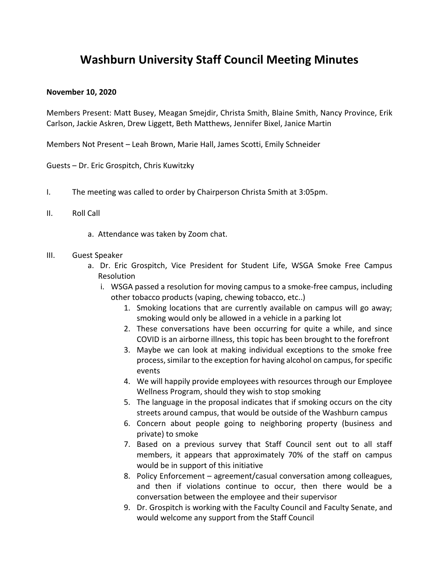## **Washburn University Staff Council Meeting Minutes**

## **November 10, 2020**

Members Present: Matt Busey, Meagan Smejdir, Christa Smith, Blaine Smith, Nancy Province, Erik Carlson, Jackie Askren, Drew Liggett, Beth Matthews, Jennifer Bixel, Janice Martin

Members Not Present – Leah Brown, Marie Hall, James Scotti, Emily Schneider

Guests – Dr. Eric Grospitch, Chris Kuwitzky

- I. The meeting was called to order by Chairperson Christa Smith at 3:05pm.
- II. Roll Call
	- a. Attendance was taken by Zoom chat.

## III. Guest Speaker

- a. Dr. Eric Grospitch, Vice President for Student Life, WSGA Smoke Free Campus Resolution
	- i. WSGA passed a resolution for moving campus to a smoke-free campus, including other tobacco products (vaping, chewing tobacco, etc..)
		- 1. Smoking locations that are currently available on campus will go away; smoking would only be allowed in a vehicle in a parking lot
		- 2. These conversations have been occurring for quite a while, and since COVID is an airborne illness, this topic has been brought to the forefront
		- 3. Maybe we can look at making individual exceptions to the smoke free process, similar to the exception for having alcohol on campus, for specific events
		- 4. We will happily provide employees with resources through our Employee Wellness Program, should they wish to stop smoking
		- 5. The language in the proposal indicates that if smoking occurs on the city streets around campus, that would be outside of the Washburn campus
		- 6. Concern about people going to neighboring property (business and private) to smoke
		- 7. Based on a previous survey that Staff Council sent out to all staff members, it appears that approximately 70% of the staff on campus would be in support of this initiative
		- 8. Policy Enforcement agreement/casual conversation among colleagues, and then if violations continue to occur, then there would be a conversation between the employee and their supervisor
		- 9. Dr. Grospitch is working with the Faculty Council and Faculty Senate, and would welcome any support from the Staff Council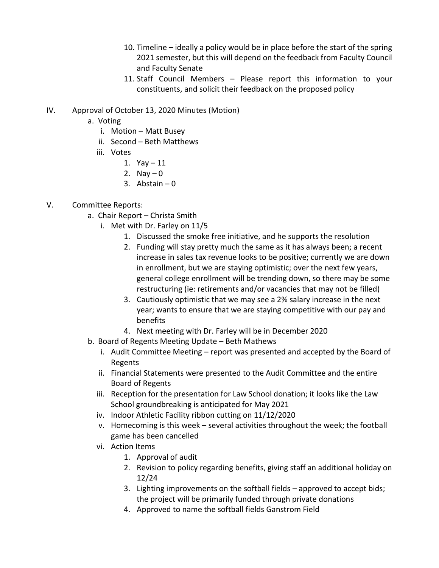- 10. Timeline ideally a policy would be in place before the start of the spring 2021 semester, but this will depend on the feedback from Faculty Council and Faculty Senate
- 11. Staff Council Members Please report this information to your constituents, and solicit their feedback on the proposed policy
- IV. Approval of October 13, 2020 Minutes (Motion)
	- a. Voting
		- i. Motion Matt Busey
		- ii. Second Beth Matthews
		- iii. Votes
			- 1. Yay 11
			- 2. Nay  $-0$
			- 3. Abstain  $-0$
- V. Committee Reports:
	- a. Chair Report Christa Smith
		- i. Met with Dr. Farley on 11/5
			- 1. Discussed the smoke free initiative, and he supports the resolution
			- 2. Funding will stay pretty much the same as it has always been; a recent increase in sales tax revenue looks to be positive; currently we are down in enrollment, but we are staying optimistic; over the next few years, general college enrollment will be trending down, so there may be some restructuring (ie: retirements and/or vacancies that may not be filled)
			- 3. Cautiously optimistic that we may see a 2% salary increase in the next year; wants to ensure that we are staying competitive with our pay and benefits
			- 4. Next meeting with Dr. Farley will be in December 2020
	- b. Board of Regents Meeting Update Beth Mathews
		- i. Audit Committee Meeting report was presented and accepted by the Board of Regents
		- ii. Financial Statements were presented to the Audit Committee and the entire Board of Regents
		- iii. Reception for the presentation for Law School donation; it looks like the Law School groundbreaking is anticipated for May 2021
		- iv. Indoor Athletic Facility ribbon cutting on 11/12/2020
		- v. Homecoming is this week several activities throughout the week; the football game has been cancelled
		- vi. Action Items
			- 1. Approval of audit
			- 2. Revision to policy regarding benefits, giving staff an additional holiday on 12/24
			- 3. Lighting improvements on the softball fields approved to accept bids; the project will be primarily funded through private donations
			- 4. Approved to name the softball fields Ganstrom Field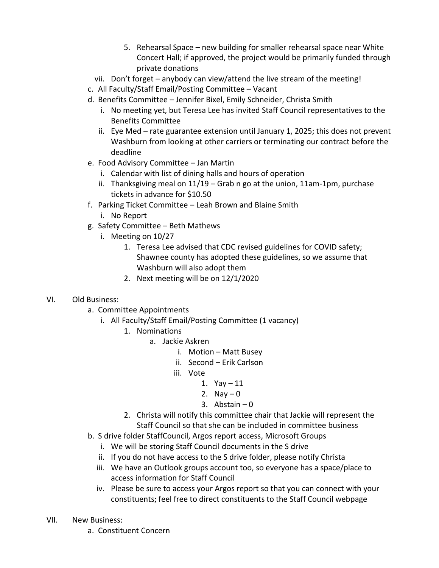- 5. Rehearsal Space new building for smaller rehearsal space near White Concert Hall; if approved, the project would be primarily funded through private donations
- vii. Don't forget anybody can view/attend the live stream of the meeting!
- c. All Faculty/Staff Email/Posting Committee Vacant
- d. Benefits Committee Jennifer Bixel, Emily Schneider, Christa Smith
	- i. No meeting yet, but Teresa Lee has invited Staff Council representatives to the Benefits Committee
	- ii. Eye Med rate guarantee extension until January 1, 2025; this does not prevent Washburn from looking at other carriers or terminating our contract before the deadline
- e. Food Advisory Committee Jan Martin
	- i. Calendar with list of dining halls and hours of operation
	- ii. Thanksgiving meal on 11/19 Grab n go at the union, 11am-1pm, purchase tickets in advance for \$10.50
- f. Parking Ticket Committee Leah Brown and Blaine Smith
	- i. No Report
- g. Safety Committee Beth Mathews
	- i. Meeting on 10/27
		- 1. Teresa Lee advised that CDC revised guidelines for COVID safety; Shawnee county has adopted these guidelines, so we assume that Washburn will also adopt them
		- 2. Next meeting will be on 12/1/2020
- VI. Old Business:
	- a. Committee Appointments
		- i. All Faculty/Staff Email/Posting Committee (1 vacancy)
			- 1. Nominations
				- a. Jackie Askren
					- i. Motion Matt Busey
					- ii. Second Erik Carlson
					- iii. Vote
						- 1.  $Yay 11$
						- 2. Nay  $-0$
						- 3. Abstain 0
			- 2. Christa will notify this committee chair that Jackie will represent the Staff Council so that she can be included in committee business
	- b. S drive folder StaffCouncil, Argos report access, Microsoft Groups
		- i. We will be storing Staff Council documents in the S drive
		- ii. If you do not have access to the S drive folder, please notify Christa
		- iii. We have an Outlook groups account too, so everyone has a space/place to access information for Staff Council
		- iv. Please be sure to access your Argos report so that you can connect with your constituents; feel free to direct constituents to the Staff Council webpage
- VII. New Business:
	- a. Constituent Concern